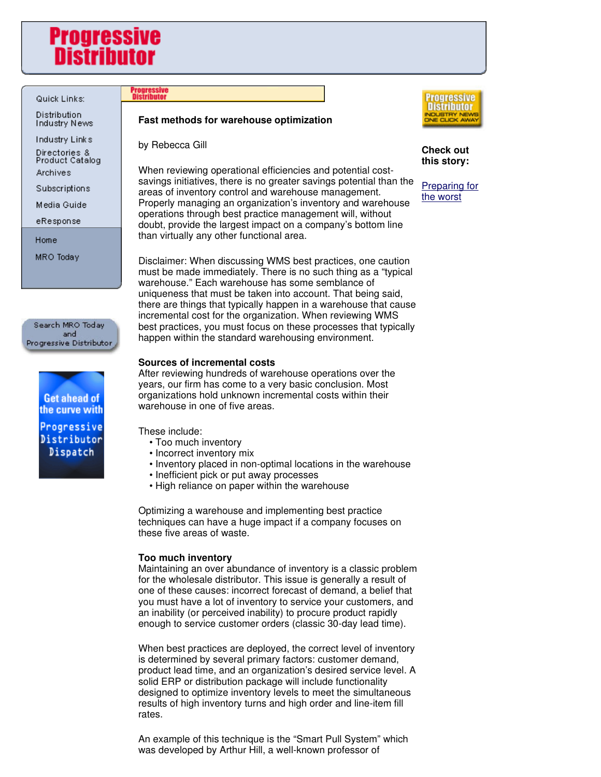# **Progressive** Distribut

# Quick Links:

Distribution Industry News

Industry Links

Directories &<br>Product Catalog Archives

Subscriptions

Media Guide

eResponse

Home

MRO Today

Search MRO Today and Progressive Distributor



# **Progressive**<br>Distributor

### **Fast methods for warehouse optimization**

by Rebecca Gill

When reviewing operational efficiencies and potential costsavings initiatives, there is no greater savings potential than the areas of inventory control and warehouse management. Properly managing an organization's inventory and warehouse operations through best practice management will, without doubt, provide the largest impact on a company's bottom line than virtually any other functional area.

Disclaimer: When discussing WMS best practices, one caution must be made immediately. There is no such thing as a "typical warehouse." Each warehouse has some semblance of uniqueness that must be taken into account. That being said, there are things that typically happen in a warehouse that cause incremental cost for the organization. When reviewing WMS best practices, you must focus on these processes that typically happen within the standard warehousing environment.

# **Sources of incremental costs**

After reviewing hundreds of warehouse operations over the years, our firm has come to a very basic conclusion. Most organizations hold unknown incremental costs within their warehouse in one of five areas.

These include:

- Too much inventory
- Incorrect inventory mix
- Inventory placed in non-optimal locations in the warehouse
- Inefficient pick or put away processes
- High reliance on paper within the warehouse

Optimizing a warehouse and implementing best practice techniques can have a huge impact if a company focuses on these five areas of waste.

# **Too much inventory**

Maintaining an over abundance of inventory is a classic problem for the wholesale distributor. This issue is generally a result of one of these causes: incorrect forecast of demand, a belief that you must have a lot of inventory to service your customers, and an inability (or perceived inability) to procure product rapidly enough to service customer orders (classic 30-day lead time).

When best practices are deployed, the correct level of inventory is determined by several primary factors: customer demand, product lead time, and an organization's desired service level. A solid ERP or distribution package will include functionality designed to optimize inventory levels to meet the simultaneous results of high inventory turns and high order and line-item fill rates.

An example of this technique is the "Smart Pull System" which was developed by Arthur Hill, a well-known professor of



**Check out this story:**

Preparing for the worst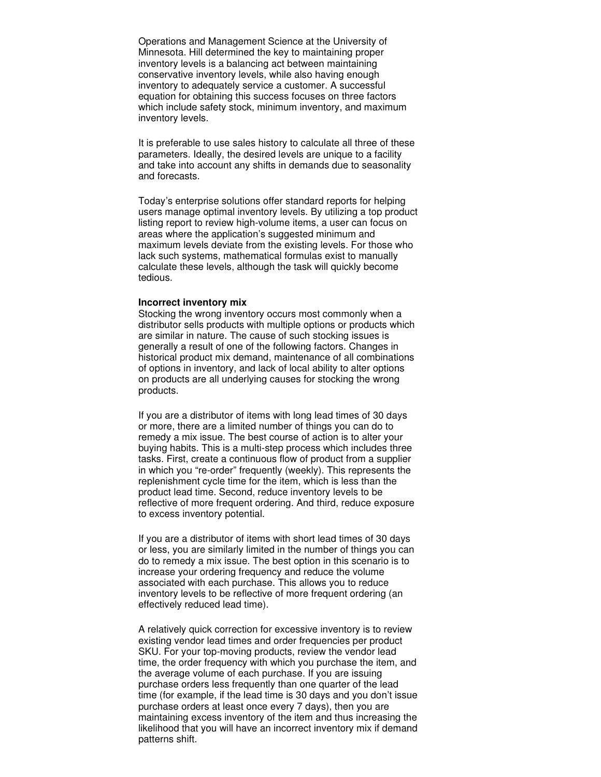Operations and Management Science at the University of Minnesota. Hill determined the key to maintaining proper inventory levels is a balancing act between maintaining conservative inventory levels, while also having enough inventory to adequately service a customer. A successful equation for obtaining this success focuses on three factors which include safety stock, minimum inventory, and maximum inventory levels.

It is preferable to use sales history to calculate all three of these parameters. Ideally, the desired levels are unique to a facility and take into account any shifts in demands due to seasonality and forecasts.

Today's enterprise solutions offer standard reports for helping users manage optimal inventory levels. By utilizing a top product listing report to review high-volume items, a user can focus on areas where the application's suggested minimum and maximum levels deviate from the existing levels. For those who lack such systems, mathematical formulas exist to manually calculate these levels, although the task will quickly become tedious.

#### **Incorrect inventory mix**

Stocking the wrong inventory occurs most commonly when a distributor sells products with multiple options or products which are similar in nature. The cause of such stocking issues is generally a result of one of the following factors. Changes in historical product mix demand, maintenance of all combinations of options in inventory, and lack of local ability to alter options on products are all underlying causes for stocking the wrong products.

If you are a distributor of items with long lead times of 30 days or more, there are a limited number of things you can do to remedy a mix issue. The best course of action is to alter your buying habits. This is a multi-step process which includes three tasks. First, create a continuous flow of product from a supplier in which you "re-order" frequently (weekly). This represents the replenishment cycle time for the item, which is less than the product lead time. Second, reduce inventory levels to be reflective of more frequent ordering. And third, reduce exposure to excess inventory potential.

If you are a distributor of items with short lead times of 30 days or less, you are similarly limited in the number of things you can do to remedy a mix issue. The best option in this scenario is to increase your ordering frequency and reduce the volume associated with each purchase. This allows you to reduce inventory levels to be reflective of more frequent ordering (an effectively reduced lead time).

A relatively quick correction for excessive inventory is to review existing vendor lead times and order frequencies per product SKU. For your top-moving products, review the vendor lead time, the order frequency with which you purchase the item, and the average volume of each purchase. If you are issuing purchase orders less frequently than one quarter of the lead time (for example, if the lead time is 30 days and you don't issue purchase orders at least once every 7 days), then you are maintaining excess inventory of the item and thus increasing the likelihood that you will have an incorrect inventory mix if demand patterns shift.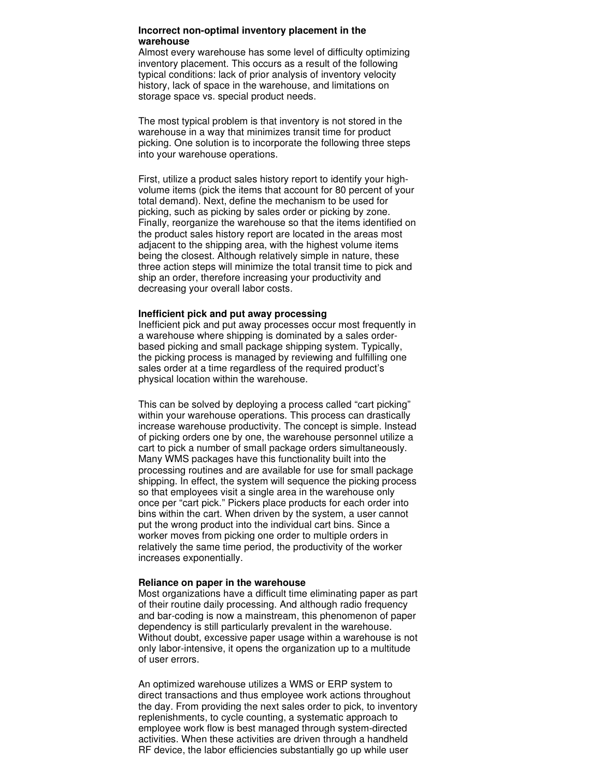#### **Incorrect non-optimal inventory placement in the warehouse**

Almost every warehouse has some level of difficulty optimizing inventory placement. This occurs as a result of the following typical conditions: lack of prior analysis of inventory velocity history, lack of space in the warehouse, and limitations on storage space vs. special product needs.

The most typical problem is that inventory is not stored in the warehouse in a way that minimizes transit time for product picking. One solution is to incorporate the following three steps into your warehouse operations.

First, utilize a product sales history report to identify your highvolume items (pick the items that account for 80 percent of your total demand). Next, define the mechanism to be used for picking, such as picking by sales order or picking by zone. Finally, reorganize the warehouse so that the items identified on the product sales history report are located in the areas most adjacent to the shipping area, with the highest volume items being the closest. Although relatively simple in nature, these three action steps will minimize the total transit time to pick and ship an order, therefore increasing your productivity and decreasing your overall labor costs.

#### **Inefficient pick and put away processing**

Inefficient pick and put away processes occur most frequently in a warehouse where shipping is dominated by a sales orderbased picking and small package shipping system. Typically, the picking process is managed by reviewing and fulfilling one sales order at a time regardless of the required product's physical location within the warehouse.

This can be solved by deploying a process called "cart picking" within your warehouse operations. This process can drastically increase warehouse productivity. The concept is simple. Instead of picking orders one by one, the warehouse personnel utilize a cart to pick a number of small package orders simultaneously. Many WMS packages have this functionality built into the processing routines and are available for use for small package shipping. In effect, the system will sequence the picking process so that employees visit a single area in the warehouse only once per "cart pick." Pickers place products for each order into bins within the cart. When driven by the system, a user cannot put the wrong product into the individual cart bins. Since a worker moves from picking one order to multiple orders in relatively the same time period, the productivity of the worker increases exponentially.

#### **Reliance on paper in the warehouse**

Most organizations have a difficult time eliminating paper as part of their routine daily processing. And although radio frequency and bar-coding is now a mainstream, this phenomenon of paper dependency is still particularly prevalent in the warehouse. Without doubt, excessive paper usage within a warehouse is not only labor-intensive, it opens the organization up to a multitude of user errors.

An optimized warehouse utilizes a WMS or ERP system to direct transactions and thus employee work actions throughout the day. From providing the next sales order to pick, to inventory replenishments, to cycle counting, a systematic approach to employee work flow is best managed through system-directed activities. When these activities are driven through a handheld RF device, the labor efficiencies substantially go up while user